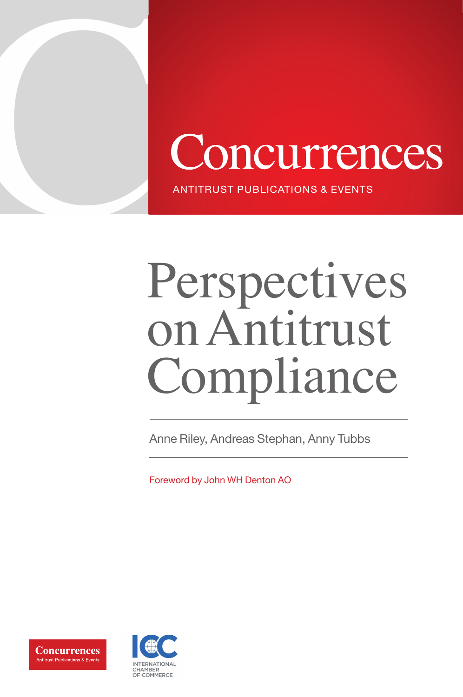



**ANTITRUST PUBLICATIONS & EVENTS** 

# Perspectives on Antitrust Compliance

Anne Riley, Andreas Stephan, Anny Tubbs

Foreword by John WH Denton AO



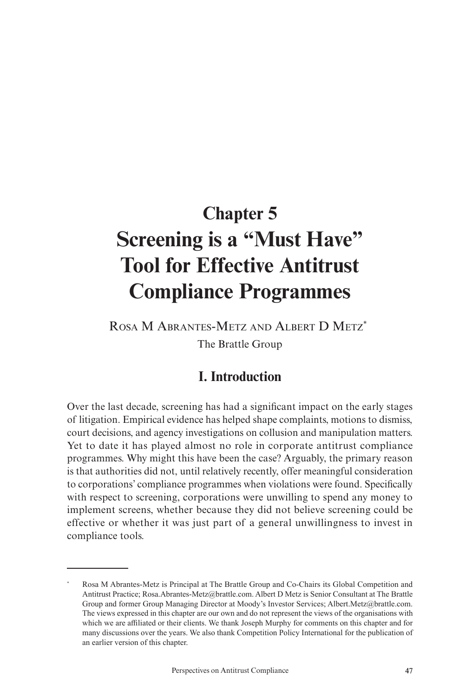### **Chapter 5 Screening is a "Must Have" Tool for Effective Antitrust Compliance Programmes**

Rosa M Abrantes-Metz and Albert D Metz\* The Brattle Group

#### **I. Introduction**

Over the last decade, screening has had a significant impact on the early stages of litigation. Empirical evidence has helped shape complaints, motions to dismiss, court decisions, and agency investigations on collusion and manipulation matters. Yet to date it has played almost no role in corporate antitrust compliance programmes. Why might this have been the case? Arguably, the primary reason is that authorities did not, until relatively recently, offer meaningful consideration to corporations' compliance programmes when violations were found. Specifically with respect to screening, corporations were unwilling to spend any money to implement screens, whether because they did not believe screening could be effective or whether it was just part of a general unwillingness to invest in compliance tools.

<sup>\*</sup> Rosa M Abrantes-Metz is Principal at The Brattle Group and Co-Chairs its Global Competition and Antitrust Practice; Rosa.Abrantes-Metz@brattle.com. Albert D Metz is Senior Consultant at The Brattle Group and former Group Managing Director at Moody's Investor Services; Albert.Metz@brattle.com. The views expressed in this chapter are our own and do not represent the views of the organisations with which we are affiliated or their clients. We thank Joseph Murphy for comments on this chapter and for many discussions over the years. We also thank Competition Policy International for the publication of an earlier version of this chapter.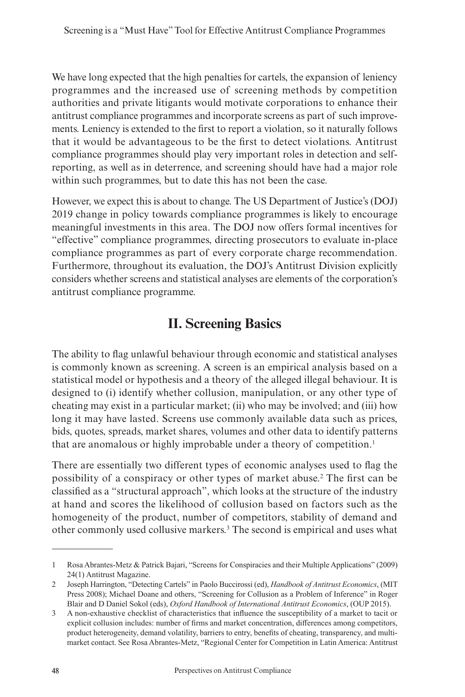We have long expected that the high penalties for cartels, the expansion of leniency programmes and the increased use of screening methods by competition authorities and private litigants would motivate corporations to enhance their antitrust compliance programmes and incorporate screens as part of such improvements. Leniency is extended to the first to report a violation, so it naturally follows that it would be advantageous to be the first to detect violations. Antitrust compliance programmes should play very important roles in detection and selfreporting, as well as in deterrence, and screening should have had a major role within such programmes, but to date this has not been the case.

However, we expect this is about to change. The US Department of Justice's (DOJ) 2019 change in policy towards compliance programmes is likely to encourage meaningful investments in this area. The DOJ now offers formal incentives for "effective" compliance programmes, directing prosecutors to evaluate in-place compliance programmes as part of every corporate charge recommendation. Furthermore, throughout its evaluation, the DOJ's Antitrust Division explicitly considers whether screens and statistical analyses are elements of the corporation's antitrust compliance programme.

#### **II. Screening Basics**

The ability to flag unlawful behaviour through economic and statistical analyses is commonly known as screening. A screen is an empirical analysis based on a statistical model or hypothesis and a theory of the alleged illegal behaviour. It is designed to (i) identify whether collusion, manipulation, or any other type of cheating may exist in a particular market; (ii) who may be involved; and (iii) how long it may have lasted. Screens use commonly available data such as prices, bids, quotes, spreads, market shares, volumes and other data to identify patterns that are anomalous or highly improbable under a theory of competition.1

There are essentially two different types of economic analyses used to flag the possibility of a conspiracy or other types of market abuse.2 The first can be classified as a "structural approach", which looks at the structure of the industry at hand and scores the likelihood of collusion based on factors such as the homogeneity of the product, number of competitors, stability of demand and other commonly used collusive markers.<sup>3</sup> The second is empirical and uses what

<sup>1</sup> Rosa Abrantes-Metz & Patrick Bajari, "Screens for Conspiracies and their Multiple Applications" (2009) 24(1) Antitrust Magazine.

<sup>2</sup> Joseph Harrington, "Detecting Cartels" in Paolo Buccirossi (ed), *Handbook of Antitrust Economics*, (MIT Press 2008); Michael Doane and others, "Screening for Collusion as a Problem of Inference" in Roger Blair and D Daniel Sokol (eds), *Oxford Handbook of International Antitrust Economics*, (OUP 2015).

<sup>3</sup> A non-exhaustive checklist of characteristics that influence the susceptibility of a market to tacit or explicit collusion includes: number of firms and market concentration, differences among competitors, product heterogeneity, demand volatility, barriers to entry, benefits of cheating, transparency, and multimarket contact. See Rosa Abrantes-Metz, "Regional Center for Competition in Latin America: Antitrust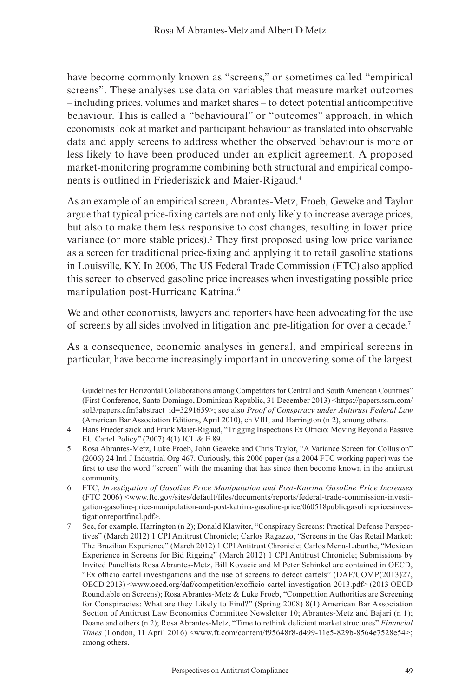have become commonly known as "screens," or sometimes called "empirical screens". These analyses use data on variables that measure market outcomes – including prices, volumes and market shares – to detect potential anticompetitive behaviour. This is called a "behavioural" or "outcomes" approach, in which economists look at market and participant behaviour as translated into observable data and apply screens to address whether the observed behaviour is more or less likely to have been produced under an explicit agreement. A proposed market-monitoring programme combining both structural and empirical components is outlined in Friederiszick and Maier-Rigaud.4

As an example of an empirical screen, Abrantes-Metz, Froeb, Geweke and Taylor argue that typical price-fixing cartels are not only likely to increase average prices, but also to make them less responsive to cost changes, resulting in lower price variance (or more stable prices).<sup>5</sup> They first proposed using low price variance as a screen for traditional price-fixing and applying it to retail gasoline stations in Louisville, KY. In 2006, The US Federal Trade Commission (FTC) also applied this screen to observed gasoline price increases when investigating possible price manipulation post-Hurricane Katrina.6

We and other economists, lawyers and reporters have been advocating for the use of screens by all sides involved in litigation and pre-litigation for over a decade.7

As a consequence, economic analyses in general, and empirical screens in particular, have become increasingly important in uncovering some of the largest

Guidelines for Horizontal Collaborations among Competitors for Central and South American Countries" (First Conference, Santo Domingo, Dominican Republic, 31 December 2013) <https://papers.ssrn.com/ sol3/papers.cfm?abstract\_id=3291659>; see also *Proof of Conspiracy under Antitrust Federal Law* (American Bar Association Editions, April 2010), ch VIII; and Harrington (n 2), among others.

<sup>4</sup> Hans Friederiszick and Frank Maier-Rigaud, "Trigging Inspections Ex Officio: Moving Beyond a Passive EU Cartel Policy" (2007) 4(1) JCL & E 89.

<sup>5</sup> Rosa Abrantes-Metz, Luke Froeb, John Geweke and Chris Taylor, "A Variance Screen for Collusion" (2006) 24 Intl J Industrial Org 467. Curiously, this 2006 paper (as a 2004 FTC working paper) was the first to use the word "screen" with the meaning that has since then become known in the antitrust community.

<sup>6</sup> FTC, *Investigation of Gasoline Price Manipulation and Post-Katrina Gasoline Price Increases* (FTC 2006) <www.ftc.gov/sites/default/files/documents/reports/federal-trade-commission-investigation-gasoline-price-manipulation-and-post-katrina-gasoline-price/060518publicgasolinepricesinvestigationreportfinal.pdf>.

<sup>7</sup> See, for example, Harrington (n 2); Donald Klawiter, "Conspiracy Screens: Practical Defense Perspectives" (March 2012) 1 CPI Antitrust Chronicle; Carlos Ragazzo, "Screens in the Gas Retail Market: The Brazilian Experience" (March 2012) 1 CPI Antitrust Chronicle; Carlos Mena-Labarthe, "Mexican Experience in Screens for Bid Rigging" (March 2012) 1 CPI Antitrust Chronicle; Submissions by Invited Panellists Rosa Abrantes-Metz, Bill Kovacic and M Peter Schinkel are contained in OECD, "Ex officio cartel investigations and the use of screens to detect cartels" (DAF/COMP(2013)27, OECD 2013) <www.oecd.org/daf/competition/exofficio-cartel-investigation-2013.pdf> (2013 OECD Roundtable on Screens); Rosa Abrantes-Metz & Luke Froeb, "Competition Authorities are Screening for Conspiracies: What are they Likely to Find?" (Spring 2008) 8(1) American Bar Association Section of Antitrust Law Economics Committee Newsletter 10; Abrantes-Metz and Bajari (n 1); Doane and others (n 2); Rosa Abrantes-Metz, "Time to rethink deficient market structures" *Financial Times* (London, 11 April 2016) <www.ft.com/content/f95648f8-d499-11e5-829b-8564e7528e54>; among others.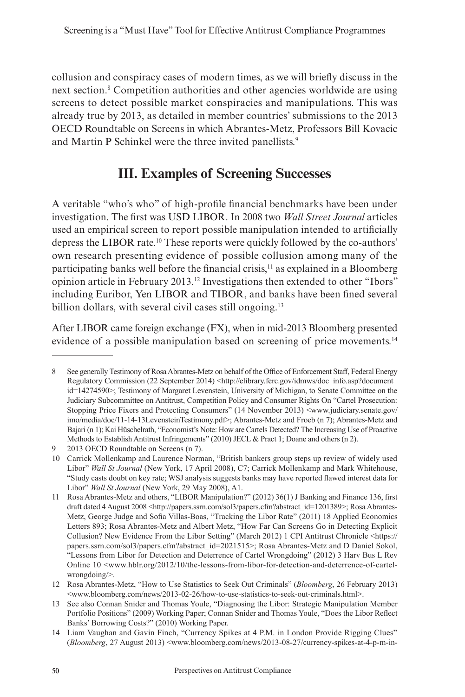collusion and conspiracy cases of modern times, as we will briefly discuss in the next section.8 Competition authorities and other agencies worldwide are using screens to detect possible market conspiracies and manipulations. This was already true by 2013, as detailed in member countries' submissions to the 2013 OECD Roundtable on Screens in which Abrantes-Metz, Professors Bill Kovacic and Martin P Schinkel were the three invited panellists.<sup>9</sup>

#### **III. Examples of Screening Successes**

A veritable "who's who" of high-profile financial benchmarks have been under investigation. The first was USD LIBOR. In 2008 two *Wall Street Journal* articles used an empirical screen to report possible manipulation intended to artificially depress the LIBOR rate.10 These reports were quickly followed by the co-authors' own research presenting evidence of possible collusion among many of the participating banks well before the financial crisis,<sup>11</sup> as explained in a Bloomberg opinion article in February 2013.12 Investigations then extended to other "Ibors" including Euribor, Yen LIBOR and TIBOR, and banks have been fined several billion dollars, with several civil cases still ongoing.<sup>13</sup>

After LIBOR came foreign exchange (FX), when in mid-2013 Bloomberg presented evidence of a possible manipulation based on screening of price movements.<sup>14</sup>

<sup>8</sup> See generally Testimony of RosaAbrantes-Metz on behalf of the Office of Enforcement Staff, Federal Energy Regulatory Commission (22 September 2014) <http://elibrary.ferc.gov/idmws/doc\_info.asp?document\_ id=14274590>; Testimony of Margaret Levenstein, University of Michigan, to Senate Committee on the Judiciary Subcommittee on Antitrust, Competition Policy and Consumer Rights On "Cartel Prosecution: Stopping Price Fixers and Protecting Consumers" (14 November 2013) <www.judiciary.senate.gov/ imo/media/doc/11-14-13LevensteinTestimony.pdf>; Abrantes-Metz and Froeb (n 7); Abrantes-Metz and Bajari (n 1); Kai Hüschelrath, "Economist's Note: How are Cartels Detected? The Increasing Use of Proactive Methods to Establish Antitrust Infringements" (2010) JECL & Pract 1; Doane and others (n 2).

<sup>9</sup> 2013 OECD Roundtable on Screens (n 7).

<sup>10</sup> Carrick Mollenkamp and Laurence Norman, "British bankers group steps up review of widely used Libor" *Wall St Journal* (New York, 17 April 2008), C7; Carrick Mollenkamp and Mark Whitehouse, "Study casts doubt on key rate; WSJ analysis suggests banks may have reported flawed interest data for Libor" *Wall St Journal* (New York, 29 May 2008), A1.

<sup>11</sup> Rosa Abrantes-Metz and others, "LIBOR Manipulation?" (2012) 36(1) J Banking and Finance 136, first draft dated 4 August 2008 <http://papers.ssrn.com/sol3/papers.cfm?abstract\_id=1201389>; Rosa Abrantes-Metz, George Judge and Sofia Villas-Boas, "Tracking the Libor Rate" (2011) 18 Applied Economics Letters 893; Rosa Abrantes-Metz and Albert Metz, "How Far Can Screens Go in Detecting Explicit Collusion? New Evidence From the Libor Setting" (March 2012) 1 CPI Antitrust Chronicle <https:// papers.ssrn.com/sol3/papers.cfm?abstract\_id=2021515>; Rosa Abrantes-Metz and D Daniel Sokol, "Lessons from Libor for Detection and Deterrence of Cartel Wrongdoing" (2012) 3 Harv Bus L Rev Online 10 <www.hblr.org/2012/10/the-lessons-from-libor-for-detection-and-deterrence-of-cartelwrongdoing/>.

<sup>12</sup> Rosa Abrantes-Metz, "How to Use Statistics to Seek Out Criminals" (*Bloomberg*, 26 February 2013) <www.bloomberg.com/news/2013-02-26/how-to-use-statistics-to-seek-out-criminals.html>.

<sup>13</sup> See also Connan Snider and Thomas Youle, "Diagnosing the Libor: Strategic Manipulation Member Portfolio Positions" (2009) Working Paper; Connan Snider and Thomas Youle, "Does the Libor Reflect Banks' Borrowing Costs?" (2010) Working Paper.

<sup>14</sup> Liam Vaughan and Gavin Finch, "Currency Spikes at 4 P.M. in London Provide Rigging Clues" (*Bloomberg*, 27 August 2013) <www.bloomberg.com/news/2013-08-27/currency-spikes-at-4-p-m-in-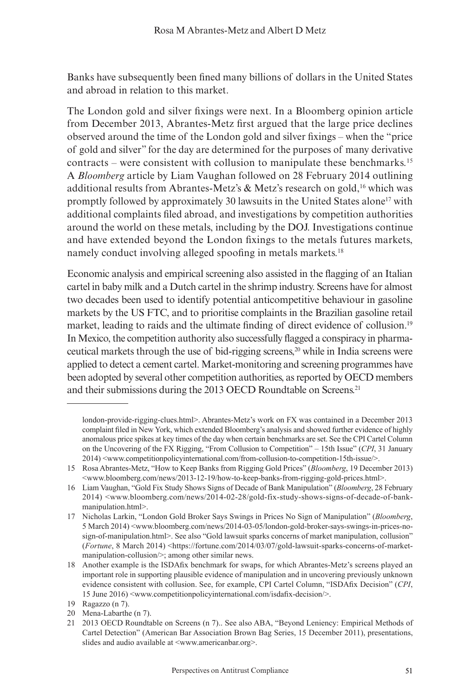Banks have subsequently been fined many billions of dollars in the United States and abroad in relation to this market.

The London gold and silver fixings were next. In a Bloomberg opinion article from December 2013, Abrantes-Metz first argued that the large price declines observed around the time of the London gold and silver fixings – when the "price of gold and silver" for the day are determined for the purposes of many derivative contracts – were consistent with collusion to manipulate these benchmarks.15 A *Bloomberg* article by Liam Vaughan followed on 28 February 2014 outlining additional results from Abrantes-Metz's & Metz's research on gold,<sup>16</sup> which was promptly followed by approximately 30 lawsuits in the United States alone17 with additional complaints filed abroad, and investigations by competition authorities around the world on these metals, including by the DOJ. Investigations continue and have extended beyond the London fixings to the metals futures markets, namely conduct involving alleged spoofing in metals markets.<sup>18</sup>

Economic analysis and empirical screening also assisted in the flagging of an Italian cartel in baby milk and a Dutch cartel in the shrimp industry. Screens have for almost two decades been used to identify potential anticompetitive behaviour in gasoline markets by the US FTC, and to prioritise complaints in the Brazilian gasoline retail market, leading to raids and the ultimate finding of direct evidence of collusion.19 In Mexico, the competition authority also successfully flagged a conspiracy in pharmaceutical markets through the use of bid-rigging screens,<sup>20</sup> while in India screens were applied to detect a cement cartel. Market-monitoring and screening programmes have been adopted by several other competition authorities, as reported by OECD members and their submissions during the 2013 OECD Roundtable on Screens.<sup>21</sup>

london-provide-rigging-clues.html>. Abrantes-Metz's work on FX was contained in a December 2013 complaint filed in New York, which extended Bloomberg's analysis and showed further evidence of highly anomalous price spikes at key times of the day when certain benchmarks are set. See the CPI Cartel Column on the Uncovering of the FX Rigging, "From Collusion to Competition" – 15th Issue" (*CPI*, 31 January 2014) <www.competitionpolicyinternational.com/from-collusion-to-competition-15th-issue/>.

<sup>15</sup> Rosa Abrantes-Metz, "How to Keep Banks from Rigging Gold Prices" (*Bloomberg*, 19 December 2013)  $\langle$ www.bloomberg.com/news/2013-12-19/how-to-keep-banks-from-rigging-gold-prices.html>.

<sup>16</sup> Liam Vaughan, "Gold Fix Study Shows Signs of Decade of Bank Manipulation" (*Bloomberg*, 28 February 2014) <www.bloomberg.com/news/2014-02-28/gold-fix-study-shows-signs-of-decade-of-bankmanipulation.html>.

<sup>17</sup> Nicholas Larkin, "London Gold Broker Says Swings in Prices No Sign of Manipulation" (*Bloomberg*, 5 March 2014) <www.bloomberg.com/news/2014-03-05/london-gold-broker-says-swings-in-prices-nosign-of-manipulation.html>. See also "Gold lawsuit sparks concerns of market manipulation, collusion" (*Fortune*, 8 March 2014) <https://fortune.com/2014/03/07/gold-lawsuit-sparks-concerns-of-marketmanipulation-collusion/>; among other similar news.

<sup>18</sup> Another example is the ISDAfix benchmark for swaps, for which Abrantes-Metz's screens played an important role in supporting plausible evidence of manipulation and in uncovering previously unknown evidence consistent with collusion. See, for example, CPI Cartel Column, "ISDAfix Decision" (*CPI*, 15 June 2016) <www.competitionpolicyinternational.com/isdafix-decision/>.

<sup>19</sup> Ragazzo (n 7).

<sup>20</sup> Mena-Labarthe (n 7).

<sup>21</sup> 2013 OECD Roundtable on Screens (n 7).. See also ABA, "Beyond Leniency: Empirical Methods of Cartel Detection" (American Bar Association Brown Bag Series, 15 December 2011), presentations, slides and audio available at <www.americanbar.org>.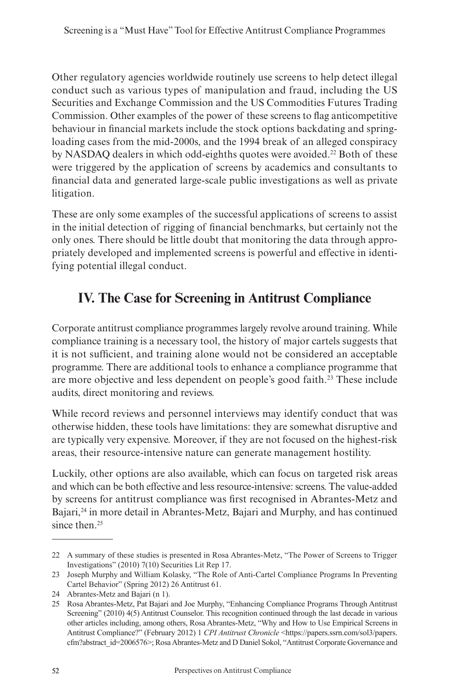Other regulatory agencies worldwide routinely use screens to help detect illegal conduct such as various types of manipulation and fraud, including the US Securities and Exchange Commission and the US Commodities Futures Trading Commission. Other examples of the power of these screens to flag anticompetitive behaviour in financial markets include the stock options backdating and springloading cases from the mid-2000s, and the 1994 break of an alleged conspiracy by NASDAO dealers in which odd-eighths quotes were avoided.<sup>22</sup> Both of these were triggered by the application of screens by academics and consultants to financial data and generated large-scale public investigations as well as private litigation.

These are only some examples of the successful applications of screens to assist in the initial detection of rigging of financial benchmarks, but certainly not the only ones. There should be little doubt that monitoring the data through appropriately developed and implemented screens is powerful and effective in identifying potential illegal conduct.

#### **IV. The Case for Screening in Antitrust Compliance**

Corporate antitrust compliance programmes largely revolve around training. While compliance training is a necessary tool, the history of major cartels suggests that it is not sufficient, and training alone would not be considered an acceptable programme. There are additional tools to enhance a compliance programme that are more objective and less dependent on people's good faith.23 These include audits, direct monitoring and reviews.

While record reviews and personnel interviews may identify conduct that was otherwise hidden, these tools have limitations: they are somewhat disruptive and are typically very expensive. Moreover, if they are not focused on the highest-risk areas, their resource-intensive nature can generate management hostility.

Luckily, other options are also available, which can focus on targeted risk areas and which can be both effective and less resource-intensive: screens. The value-added by screens for antitrust compliance was first recognised in Abrantes-Metz and Bajari,24 in more detail in Abrantes-Metz, Bajari and Murphy, and has continued since then.<sup>25</sup>

<sup>22</sup> A summary of these studies is presented in Rosa Abrantes-Metz, "The Power of Screens to Trigger Investigations" (2010) 7(10) Securities Lit Rep 17.

<sup>23</sup> Joseph Murphy and William Kolasky, "The Role of Anti-Cartel Compliance Programs In Preventing Cartel Behavior" (Spring 2012) 26 Antitrust 61.

<sup>24</sup> Abrantes-Metz and Bajari (n 1).

<sup>25</sup> Rosa Abrantes-Metz, Pat Bajari and Joe Murphy, "Enhancing Compliance Programs Through Antitrust Screening" (2010) 4(5) Antitrust Counselor. This recognition continued through the last decade in various other articles including, among others, Rosa Abrantes-Metz, "Why and How to Use Empirical Screens in Antitrust Compliance?" (February 2012) 1 *CPI Antitrust Chronicle* <https://papers.ssrn.com/sol3/papers. cfm?abstract\_id=2006576>; RosaAbrantes-Metz and D Daniel Sokol, "Antitrust Corporate Governance and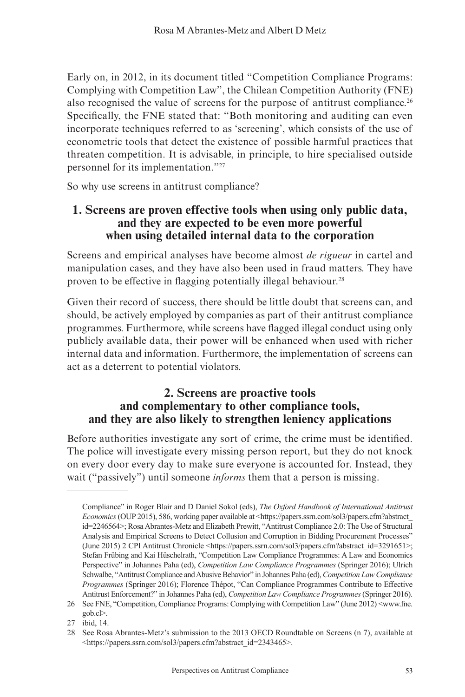Early on, in 2012, in its document titled "Competition Compliance Programs: Complying with Competition Law", the Chilean Competition Authority (FNE) also recognised the value of screens for the purpose of antitrust compliance.<sup>26</sup> Specifically, the FNE stated that: "Both monitoring and auditing can even incorporate techniques referred to as 'screening', which consists of the use of econometric tools that detect the existence of possible harmful practices that threaten competition. It is advisable, in principle, to hire specialised outside personnel for its implementation."27

So why use screens in antitrust compliance?

#### **1. Screens are proven effective tools when using only public data, and they are expected to be even more powerful when using detailed internal data to the corporation**

Screens and empirical analyses have become almost *de rigueur* in cartel and manipulation cases, and they have also been used in fraud matters. They have proven to be effective in flagging potentially illegal behaviour.<sup>28</sup>

Given their record of success, there should be little doubt that screens can, and should, be actively employed by companies as part of their antitrust compliance programmes. Furthermore, while screens have flagged illegal conduct using only publicly available data, their power will be enhanced when used with richer internal data and information. Furthermore, the implementation of screens can act as a deterrent to potential violators.

#### **2. Screens are proactive tools and complementary to other compliance tools, and they are also likely to strengthen leniency applications**

Before authorities investigate any sort of crime, the crime must be identified. The police will investigate every missing person report, but they do not knock on every door every day to make sure everyone is accounted for. Instead, they wait ("passively") until someone *informs* them that a person is missing.

Compliance" in Roger Blair and D Daniel Sokol (eds), *The Oxford Handbook of International Antitrust Economics*(OUP 2015), 586, working paper available at <https://papers.ssrn.com/sol3/papers.cfm?abstract\_ id=2246564>; Rosa Abrantes-Metz and Elizabeth Prewitt, "Antitrust Compliance 2.0: The Use of Structural Analysis and Empirical Screens to Detect Collusion and Corruption in Bidding Procurement Processes" (June 2015) 2 CPI Antitrust Chronicle <https://papers.ssrn.com/sol3/papers.cfm?abstract\_id=3291651>; Stefan Frübing and Kai Hüschelrath, "Competition Law Compliance Programmes: A Law and Economics Perspective" in Johannes Paha (ed), *Competition Law Compliance Programmes* (Springer 2016); Ulrich Schwalbe, "Antitrust Compliance and Abusive Behavior" in Johannes Paha (ed), *Competition Law Compliance Programmes* (Springer 2016); Florence Thépot, "Can Compliance Programmes Contribute to Effective Antitrust Enforcement?" in Johannes Paha (ed), *Competition Law Compliance Programmes* (Springer 2016).

<sup>26</sup> See FNE, "Competition, Compliance Programs: Complying with Competition Law" (June 2012) <www.fne. gob.cl>.

<sup>27</sup> ibid, 14.

<sup>28</sup> See Rosa Abrantes-Metz's submission to the 2013 OECD Roundtable on Screens (n 7), available at <https://papers.ssrn.com/sol3/papers.cfm?abstract\_id=2343465>.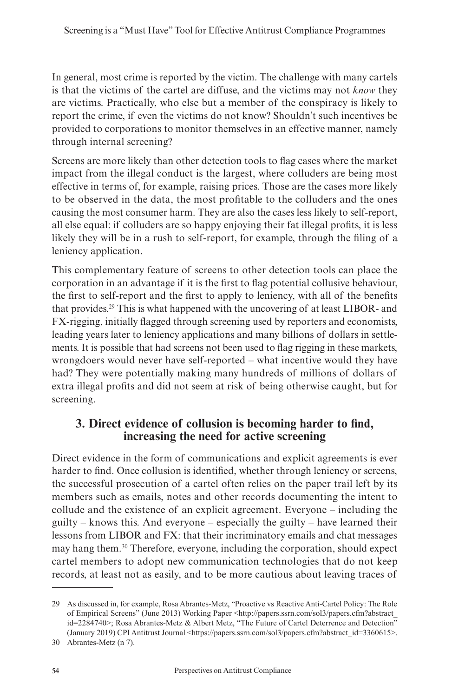In general, most crime is reported by the victim. The challenge with many cartels is that the victims of the cartel are diffuse, and the victims may not *know* they are victims. Practically, who else but a member of the conspiracy is likely to report the crime, if even the victims do not know? Shouldn't such incentives be provided to corporations to monitor themselves in an effective manner, namely through internal screening?

Screens are more likely than other detection tools to flag cases where the market impact from the illegal conduct is the largest, where colluders are being most effective in terms of, for example, raising prices. Those are the cases more likely to be observed in the data, the most profitable to the colluders and the ones causing the most consumer harm. They are also the cases less likely to self-report, all else equal: if colluders are so happy enjoying their fat illegal profits, it is less likely they will be in a rush to self-report, for example, through the filing of a leniency application.

This complementary feature of screens to other detection tools can place the corporation in an advantage if it is the first to flag potential collusive behaviour, the first to self-report and the first to apply to leniency, with all of the benefits that provides.29 This is what happened with the uncovering of at least LIBOR- and FX-rigging, initially flagged through screening used by reporters and economists, leading years later to leniency applications and many billions of dollars in settlements. It is possible that had screens not been used to flag rigging in these markets, wrongdoers would never have self-reported – what incentive would they have had? They were potentially making many hundreds of millions of dollars of extra illegal profits and did not seem at risk of being otherwise caught, but for screening.

#### **3. Direct evidence of collusion is becoming harder to find, increasing the need for active screening**

Direct evidence in the form of communications and explicit agreements is ever harder to find. Once collusion is identified, whether through leniency or screens, the successful prosecution of a cartel often relies on the paper trail left by its members such as emails, notes and other records documenting the intent to collude and the existence of an explicit agreement. Everyone – including the guilty – knows this. And everyone – especially the guilty – have learned their lessons from LIBOR and FX: that their incriminatory emails and chat messages may hang them.30 Therefore, everyone, including the corporation, should expect cartel members to adopt new communication technologies that do not keep records, at least not as easily, and to be more cautious about leaving traces of

<sup>29</sup> As discussed in, for example, Rosa Abrantes-Metz, "Proactive vs Reactive Anti-Cartel Policy: The Role of Empirical Screens" (June 2013) Working Paper <http://papers.ssrn.com/sol3/papers.cfm?abstract\_ id=2284740>; Rosa Abrantes-Metz & Albert Metz, "The Future of Cartel Deterrence and Detection" (January 2019) CPI Antitrust Journal <https://papers.ssrn.com/sol3/papers.cfm?abstract\_id=3360615>.

<sup>30</sup> Abrantes-Metz (n 7).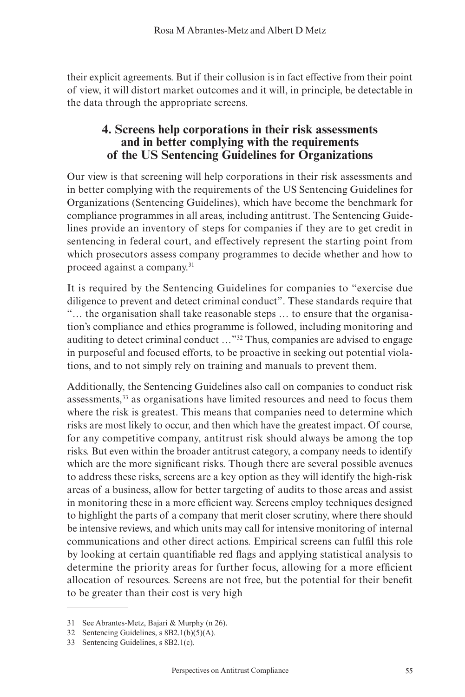their explicit agreements. But if their collusion is in fact effective from their point of view, it will distort market outcomes and it will, in principle, be detectable in the data through the appropriate screens.

#### **4. Screens help corporations in their risk assessments and in better complying with the requirements of the US Sentencing Guidelines for Organizations**

Our view is that screening will help corporations in their risk assessments and in better complying with the requirements of the US Sentencing Guidelines for Organizations (Sentencing Guidelines), which have become the benchmark for compliance programmes in all areas, including antitrust. The Sentencing Guidelines provide an inventory of steps for companies if they are to get credit in sentencing in federal court, and effectively represent the starting point from which prosecutors assess company programmes to decide whether and how to proceed against a company.<sup>31</sup>

It is required by the Sentencing Guidelines for companies to "exercise due diligence to prevent and detect criminal conduct". These standards require that "… the organisation shall take reasonable steps … to ensure that the organisation's compliance and ethics programme is followed, including monitoring and auditing to detect criminal conduct …"32 Thus, companies are advised to engage in purposeful and focused efforts, to be proactive in seeking out potential violations, and to not simply rely on training and manuals to prevent them.

Additionally, the Sentencing Guidelines also call on companies to conduct risk assessments,33 as organisations have limited resources and need to focus them where the risk is greatest. This means that companies need to determine which risks are most likely to occur, and then which have the greatest impact. Of course, for any competitive company, antitrust risk should always be among the top risks. But even within the broader antitrust category, a company needs to identify which are the more significant risks. Though there are several possible avenues to address these risks, screens are a key option as they will identify the high-risk areas of a business, allow for better targeting of audits to those areas and assist in monitoring these in a more efficient way. Screens employ techniques designed to highlight the parts of a company that merit closer scrutiny, where there should be intensive reviews, and which units may call for intensive monitoring of internal communications and other direct actions. Empirical screens can fulfil this role by looking at certain quantifiable red flags and applying statistical analysis to determine the priority areas for further focus, allowing for a more efficient allocation of resources. Screens are not free, but the potential for their benefit to be greater than their cost is very high

<sup>31</sup> See Abrantes-Metz, Bajari & Murphy (n 26).

<sup>32</sup> Sentencing Guidelines, s 8B2.1(b)(5)(A).

<sup>33</sup> Sentencing Guidelines, s 8B2.1(c).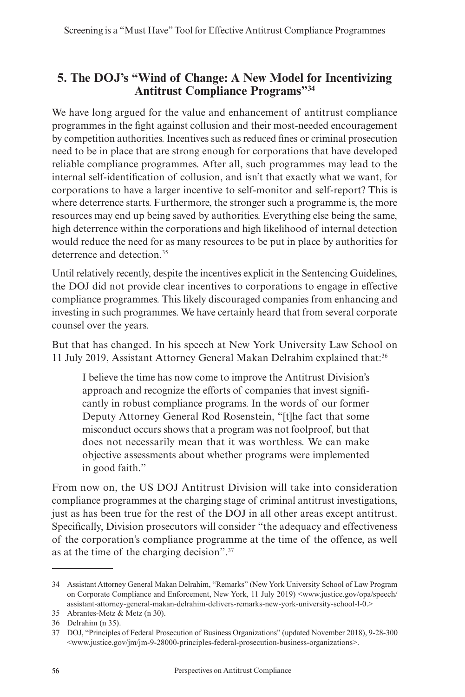#### **5. The DOJ's "Wind of Change: A New Model for Incentivizing Antitrust Compliance Programs"34**

We have long argued for the value and enhancement of antitrust compliance programmes in the fight against collusion and their most-needed encouragement by competition authorities. Incentives such as reduced fines or criminal prosecution need to be in place that are strong enough for corporations that have developed reliable compliance programmes. After all, such programmes may lead to the internal self-identification of collusion, and isn't that exactly what we want, for corporations to have a larger incentive to self-monitor and self-report? This is where deterrence starts. Furthermore, the stronger such a programme is, the more resources may end up being saved by authorities. Everything else being the same, high deterrence within the corporations and high likelihood of internal detection would reduce the need for as many resources to be put in place by authorities for deterrence and detection.<sup>35</sup>

Until relatively recently, despite the incentives explicit in the Sentencing Guidelines, the DOJ did not provide clear incentives to corporations to engage in effective compliance programmes. This likely discouraged companies from enhancing and investing in such programmes. We have certainly heard that from several corporate counsel over the years.

But that has changed. In his speech at New York University Law School on 11 July 2019, Assistant Attorney General Makan Delrahim explained that:36

I believe the time has now come to improve the Antitrust Division's approach and recognize the efforts of companies that invest significantly in robust compliance programs. In the words of our former Deputy Attorney General Rod Rosenstein, "[t]he fact that some misconduct occurs shows that a program was not foolproof, but that does not necessarily mean that it was worthless. We can make objective assessments about whether programs were implemented in good faith."

From now on, the US DOJ Antitrust Division will take into consideration compliance programmes at the charging stage of criminal antitrust investigations, just as has been true for the rest of the DOJ in all other areas except antitrust. Specifically, Division prosecutors will consider "the adequacy and effectiveness of the corporation's compliance programme at the time of the offence, as well as at the time of the charging decision".37

<sup>34</sup> Assistant Attorney General Makan Delrahim, "Remarks" (New York University School of Law Program on Corporate Compliance and Enforcement, New York, 11 July 2019) <www.justice.gov/opa/speech/ assistant-attorney-general-makan-delrahim-delivers-remarks-new-york-university-school-l-0.>

<sup>35</sup> Abrantes-Metz & Metz (n 30).

<sup>36</sup> Delrahim (n 35).

<sup>37</sup> DOJ, "Principles of Federal Prosecution of Business Organizations" (updated November 2018), 9-28-300  $\leq$ www.justice.gov/jm/jm-9-28000-principles-federal-prosecution-business-organizations $\geq$ .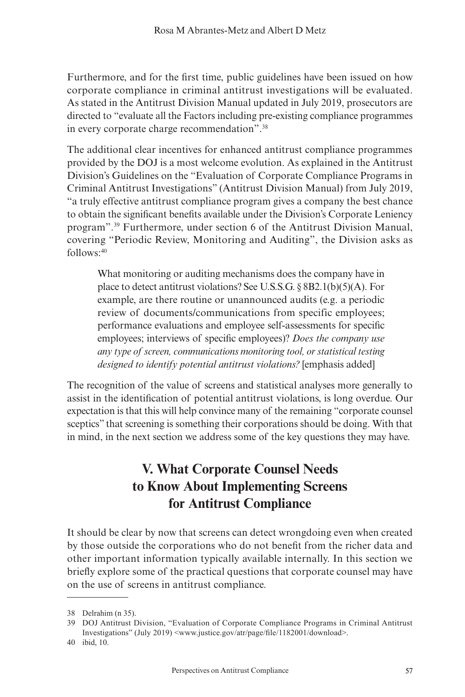Furthermore, and for the first time, public guidelines have been issued on how corporate compliance in criminal antitrust investigations will be evaluated. As stated in the Antitrust Division Manual updated in July 2019, prosecutors are directed to "evaluate all the Factors including pre-existing compliance programmes in every corporate charge recommendation".38

The additional clear incentives for enhanced antitrust compliance programmes provided by the DOJ is a most welcome evolution. As explained in the Antitrust Division's Guidelines on the "Evaluation of Corporate Compliance Programs in Criminal Antitrust Investigations" (Antitrust Division Manual) from July 2019, "a truly effective antitrust compliance program gives a company the best chance to obtain the significant benefits available under the Division's Corporate Leniency program".39 Furthermore, under section 6 of the Antitrust Division Manual, covering "Periodic Review, Monitoring and Auditing", the Division asks as follows:40

What monitoring or auditing mechanisms does the company have in place to detect antitrust violations? See U.S.S.G. § 8B2.1(b)(5)(A). For example, are there routine or unannounced audits (e.g. a periodic review of documents/communications from specific employees; performance evaluations and employee self-assessments for specific employees; interviews of specific employees)? *Does the company use any type of screen, communications monitoring tool, or statistical testing designed to identify potential antitrust violations?* [emphasis added]

The recognition of the value of screens and statistical analyses more generally to assist in the identification of potential antitrust violations, is long overdue. Our expectation is that this will help convince many of the remaining "corporate counsel sceptics" that screening is something their corporations should be doing. With that in mind, in the next section we address some of the key questions they may have.

#### **V. What Corporate Counsel Needs to Know About Implementing Screens for Antitrust Compliance**

It should be clear by now that screens can detect wrongdoing even when created by those outside the corporations who do not benefit from the richer data and other important information typically available internally. In this section we briefly explore some of the practical questions that corporate counsel may have on the use of screens in antitrust compliance.

<sup>38</sup> Delrahim (n 35).

<sup>39</sup> DOJ Antitrust Division, "Evaluation of Corporate Compliance Programs in Criminal Antitrust Investigations" (July 2019) <www.justice.gov/atr/page/file/1182001/download>.

<sup>40</sup> ibid, 10.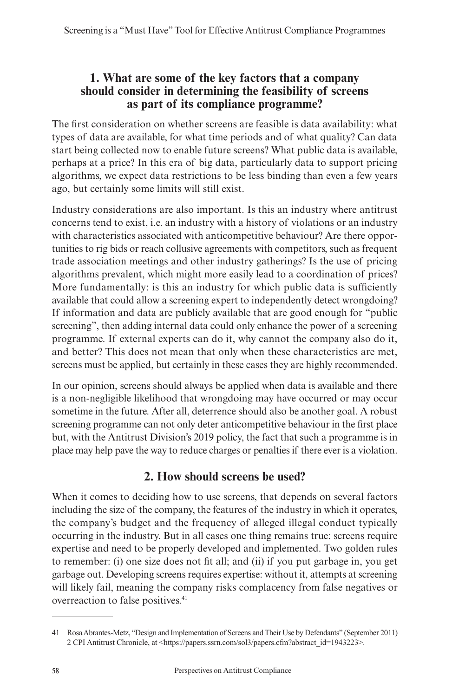#### **1. What are some of the key factors that a company should consider in determining the feasibility of screens as part of its compliance programme?**

The first consideration on whether screens are feasible is data availability: what types of data are available, for what time periods and of what quality? Can data start being collected now to enable future screens? What public data is available, perhaps at a price? In this era of big data, particularly data to support pricing algorithms, we expect data restrictions to be less binding than even a few years ago, but certainly some limits will still exist.

Industry considerations are also important. Is this an industry where antitrust concerns tend to exist, i.e. an industry with a history of violations or an industry with characteristics associated with anticompetitive behaviour? Are there opportunities to rig bids or reach collusive agreements with competitors, such as frequent trade association meetings and other industry gatherings? Is the use of pricing algorithms prevalent, which might more easily lead to a coordination of prices? More fundamentally: is this an industry for which public data is sufficiently available that could allow a screening expert to independently detect wrongdoing? If information and data are publicly available that are good enough for "public screening", then adding internal data could only enhance the power of a screening programme. If external experts can do it, why cannot the company also do it, and better? This does not mean that only when these characteristics are met, screens must be applied, but certainly in these cases they are highly recommended.

In our opinion, screens should always be applied when data is available and there is a non-negligible likelihood that wrongdoing may have occurred or may occur sometime in the future. After all, deterrence should also be another goal. A robust screening programme can not only deter anticompetitive behaviour in the first place but, with the Antitrust Division's 2019 policy, the fact that such a programme is in place may help pave the way to reduce charges or penalties if there ever is a violation.

#### **2. How should screens be used?**

When it comes to deciding how to use screens, that depends on several factors including the size of the company, the features of the industry in which it operates, the company's budget and the frequency of alleged illegal conduct typically occurring in the industry. But in all cases one thing remains true: screens require expertise and need to be properly developed and implemented. Two golden rules to remember: (i) one size does not fit all; and (ii) if you put garbage in, you get garbage out. Developing screens requires expertise: without it, attempts at screening will likely fail, meaning the company risks complacency from false negatives or overreaction to false positives.41

<sup>41</sup> Rosa Abrantes-Metz, "Design and Implementation of Screens and Their Use by Defendants" (September 2011) 2 CPI Antitrust Chronicle, at <https://papers.ssrn.com/sol3/papers.cfm?abstract\_id=1943223>.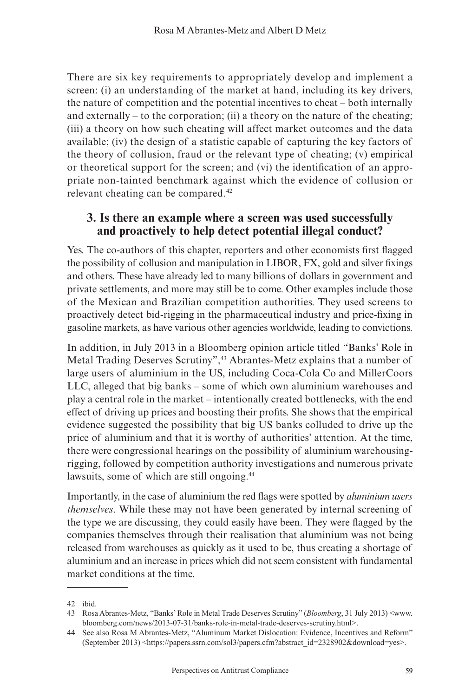There are six key requirements to appropriately develop and implement a screen: (i) an understanding of the market at hand, including its key drivers, the nature of competition and the potential incentives to cheat – both internally and externally – to the corporation; (ii) a theory on the nature of the cheating; (iii) a theory on how such cheating will affect market outcomes and the data available; (iv) the design of a statistic capable of capturing the key factors of the theory of collusion, fraud or the relevant type of cheating; (v) empirical or theoretical support for the screen; and (vi) the identification of an appropriate non-tainted benchmark against which the evidence of collusion or relevant cheating can be compared.42

#### **3. Is there an example where a screen was used successfully and proactively to help detect potential illegal conduct?**

Yes. The co-authors of this chapter, reporters and other economists first flagged the possibility of collusion and manipulation in LIBOR, FX, gold and silver fixings and others. These have already led to many billions of dollars in government and private settlements, and more may still be to come. Other examples include those of the Mexican and Brazilian competition authorities. They used screens to proactively detect bid-rigging in the pharmaceutical industry and price-fixing in gasoline markets, as have various other agencies worldwide, leading to convictions.

In addition, in July 2013 in a Bloomberg opinion article titled "Banks' Role in Metal Trading Deserves Scrutiny",43 Abrantes-Metz explains that a number of large users of aluminium in the US, including Coca-Cola Co and MillerCoors LLC, alleged that big banks – some of which own aluminium warehouses and play a central role in the market – intentionally created bottlenecks, with the end effect of driving up prices and boosting their profits. She shows that the empirical evidence suggested the possibility that big US banks colluded to drive up the price of aluminium and that it is worthy of authorities' attention. At the time, there were congressional hearings on the possibility of aluminium warehousingrigging, followed by competition authority investigations and numerous private lawsuits, some of which are still ongoing.<sup>44</sup>

Importantly, in the case of aluminium the red flags were spotted by *aluminium users themselves*. While these may not have been generated by internal screening of the type we are discussing, they could easily have been. They were flagged by the companies themselves through their realisation that aluminium was not being released from warehouses as quickly as it used to be, thus creating a shortage of aluminium and an increase in prices which did not seem consistent with fundamental market conditions at the time.

<sup>42</sup> ibid.

<sup>43</sup> Rosa Abrantes-Metz, "Banks' Role in Metal Trade Deserves Scrutiny" (*Bloomberg*, 31 July 2013) <www. bloomberg.com/news/2013-07-31/banks-role-in-metal-trade-deserves-scrutiny.html>.

<sup>44</sup> See also Rosa M Abrantes-Metz, "Aluminum Market Dislocation: Evidence, Incentives and Reform" (September 2013) <https://papers.ssrn.com/sol3/papers.cfm?abstract\_id=2328902&download=yes>.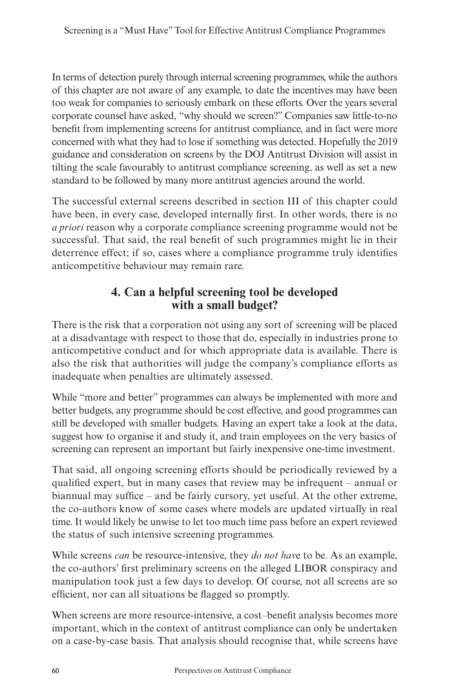In terms of detection purely through internal screening programmes, while the authors of this chapter are not aware of any example, to date the incentives may have been too weak for companies to seriously embark on these efforts. Over the years several corporate counsel have asked, "why should we screen?" Companies saw little-to-no benefit from implementing screens for antitrust compliance, and in fact were more concerned with what they had to lose if something was detected. Hopefully the 2019 guidance and consideration on screens by the DOJ Antitrust Division will assist in tilting the scale favourably to antitrust compliance screening, as well as set a new standard to be followed by many more antitrust agencies around the world.

The successful external screens described in section III of this chapter could have been, in every case, developed internally first. In other words, there is no *a priori* reason why a corporate compliance screening programme would not be successful. That said, the real benefit of such programmes might lie in their deterrence effect; if so, cases where a compliance programme truly identifies anticompetitive behaviour may remain rare.

#### **4. Can a helpful screening tool be developed with a small budget?**

There is the risk that a corporation not using any sort of screening will be placed at a disadvantage with respect to those that do, especially in industries prone to anticompetitive conduct and for which appropriate data is available. There is also the risk that authorities will judge the company's compliance efforts as inadequate when penalties are ultimately assessed.

While "more and better" programmes can always be implemented with more and better budgets, any programme should be cost effective, and good programmes can still be developed with smaller budgets. Having an expert take a look at the data, suggest how to organise it and study it, and train employees on the very basics of screening can represent an important but fairly inexpensive one-time investment.

That said, all ongoing screening efforts should be periodically reviewed by a qualified expert, but in many cases that review may be infrequent – annual or biannual may suffice – and be fairly cursory, yet useful. At the other extreme, the co-authors know of some cases where models are updated virtually in real time. It would likely be unwise to let too much time pass before an expert reviewed the status of such intensive screening programmes.

While screens *can* be resource-intensive, they *do not hav*e to be. As an example, the co-authors' first preliminary screens on the alleged LIBOR conspiracy and manipulation took just a few days to develop. Of course, not all screens are so efficient, nor can all situations be flagged so promptly.

When screens are more resource-intensive, a cost-benefit analysis becomes more important, which in the context of antitrust compliance can only be undertaken on a case-by-case basis. That analysis should recognise that, while screens have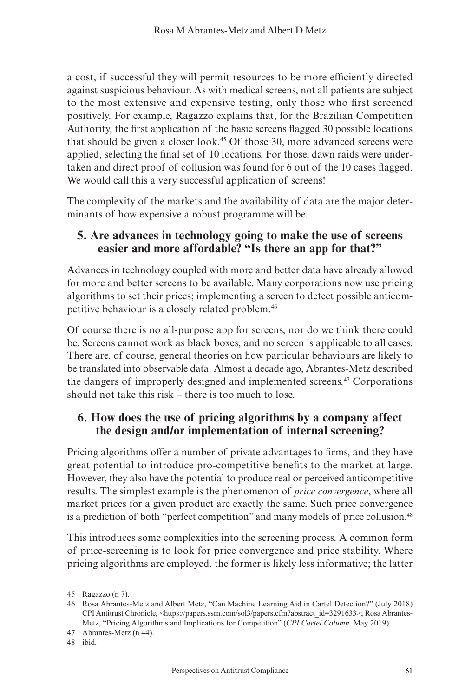a cost, if successful they will permit resources to be more efficiently directed against suspicious behaviour. As with medical screens, not all patients are subject to the most extensive and expensive testing, only those who first screened positively. For example, Ragazzo explains that, for the Brazilian Competition Authority, the first application of the basic screens flagged 30 possible locations that should be given a closer look.45 Of those 30, more advanced screens were applied, selecting the final set of 10 locations. For those, dawn raids were undertaken and direct proof of collusion was found for 6 out of the 10 cases flagged. We would call this a very successful application of screens!

The complexity of the markets and the availability of data are the major determinants of how expensive a robust programme will be.

#### **5. Are advances in technology going to make the use of screens easier and more affordable? "Is there an app for that?"**

Advances in technology coupled with more and better data have already allowed for more and better screens to be available. Many corporations now use pricing algorithms to set their prices; implementing a screen to detect possible anticompetitive behaviour is a closely related problem.46

Of course there is no all-purpose app for screens, nor do we think there could be. Screens cannot work as black boxes, and no screen is applicable to all cases. There are, of course, general theories on how particular behaviours are likely to be translated into observable data. Almost a decade ago, Abrantes-Metz described the dangers of improperly designed and implemented screens.47 Corporations should not take this risk – there is too much to lose.

#### **6. How does the use of pricing algorithms by a company affect the design and/or implementation of internal screening?**

Pricing algorithms offer a number of private advantages to firms, and they have great potential to introduce pro-competitive benefits to the market at large. However, they also have the potential to produce real or perceived anticompetitive results. The simplest example is the phenomenon of *price convergence*, where all market prices for a given product are exactly the same. Such price convergence is a prediction of both "perfect competition" and many models of price collusion.<sup>48</sup>

This introduces some complexities into the screening process. A common form of price-screening is to look for price convergence and price stability. Where pricing algorithms are employed, the former is likely less informative; the latter

<sup>45</sup> Ragazzo (n 7).

<sup>46</sup> Rosa Abrantes-Metz and Albert Metz, "Can Machine Learning Aid in Cartel Detection?" (July 2018) CPI Antitrust Chronicle*,* <https://papers.ssrn.com/sol3/papers.cfm?abstract\_id=3291633>; Rosa Abrantes-Metz, "Pricing Algorithms and Implications for Competition" (*CPI Cartel Column,* May 2019).

<sup>47</sup> Abrantes-Metz (n 44).

<sup>48</sup> ibid.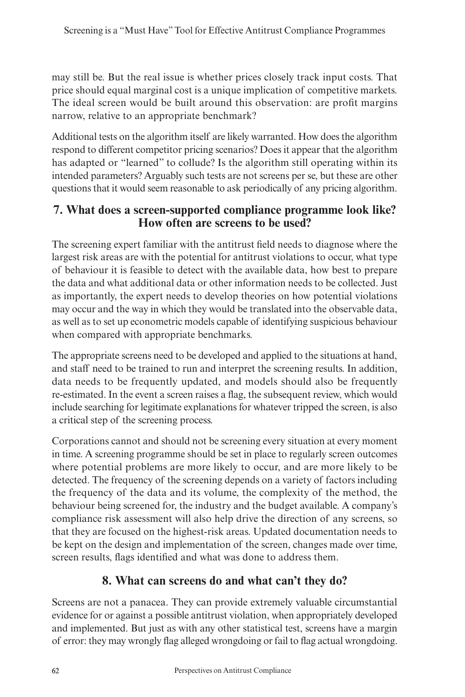may still be. But the real issue is whether prices closely track input costs. That price should equal marginal cost is a unique implication of competitive markets. The ideal screen would be built around this observation: are profit margins narrow, relative to an appropriate benchmark?

Additional tests on the algorithm itself are likely warranted. How does the algorithm respond to different competitor pricing scenarios? Does it appear that the algorithm has adapted or "learned" to collude? Is the algorithm still operating within its intended parameters? Arguably such tests are not screens per se, but these are other questions that it would seem reasonable to ask periodically of any pricing algorithm.

#### **7. What does a screen-supported compliance programme look like? How often are screens to be used?**

The screening expert familiar with the antitrust field needs to diagnose where the largest risk areas are with the potential for antitrust violations to occur, what type of behaviour it is feasible to detect with the available data, how best to prepare the data and what additional data or other information needs to be collected. Just as importantly, the expert needs to develop theories on how potential violations may occur and the way in which they would be translated into the observable data, as well as to set up econometric models capable of identifying suspicious behaviour when compared with appropriate benchmarks.

The appropriate screens need to be developed and applied to the situations at hand, and staff need to be trained to run and interpret the screening results. In addition, data needs to be frequently updated, and models should also be frequently re-estimated. In the event a screen raises a flag, the subsequent review, which would include searching for legitimate explanations for whatever tripped the screen, is also a critical step of the screening process.

Corporations cannot and should not be screening every situation at every moment in time. A screening programme should be set in place to regularly screen outcomes where potential problems are more likely to occur, and are more likely to be detected. The frequency of the screening depends on a variety of factors including the frequency of the data and its volume, the complexity of the method, the behaviour being screened for, the industry and the budget available. A company's compliance risk assessment will also help drive the direction of any screens, so that they are focused on the highest-risk areas. Updated documentation needs to be kept on the design and implementation of the screen, changes made over time, screen results, flags identified and what was done to address them.

#### **8. What can screens do and what can't they do?**

Screens are not a panacea. They can provide extremely valuable circumstantial evidence for or against a possible antitrust violation, when appropriately developed and implemented. But just as with any other statistical test, screens have a margin of error: they may wrongly flag alleged wrongdoing or fail to flag actual wrongdoing.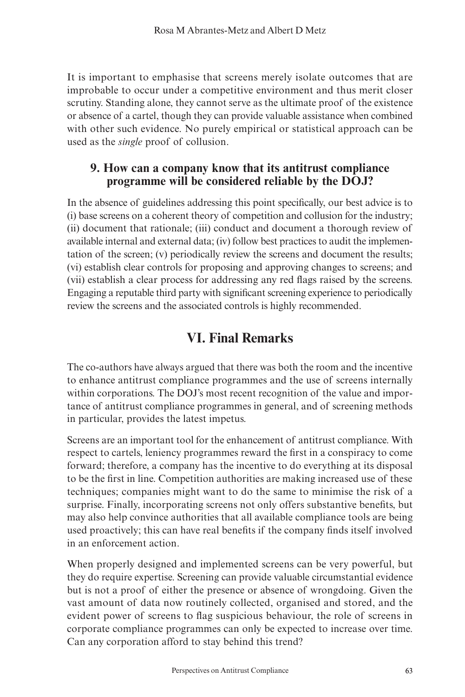It is important to emphasise that screens merely isolate outcomes that are improbable to occur under a competitive environment and thus merit closer scrutiny. Standing alone, they cannot serve as the ultimate proof of the existence or absence of a cartel, though they can provide valuable assistance when combined with other such evidence. No purely empirical or statistical approach can be used as the *single* proof of collusion.

#### **9. How can a company know that its antitrust compliance programme will be considered reliable by the DOJ?**

In the absence of guidelines addressing this point specifically, our best advice is to (i) base screens on a coherent theory of competition and collusion for the industry; (ii) document that rationale; (iii) conduct and document a thorough review of available internal and external data; (iv) follow best practices to audit the implementation of the screen; (v) periodically review the screens and document the results; (vi) establish clear controls for proposing and approving changes to screens; and (vii) establish a clear process for addressing any red flags raised by the screens. Engaging a reputable third party with significant screening experience to periodically review the screens and the associated controls is highly recommended.

#### **VI. Final Remarks**

The co-authors have always argued that there was both the room and the incentive to enhance antitrust compliance programmes and the use of screens internally within corporations. The DOJ's most recent recognition of the value and importance of antitrust compliance programmes in general, and of screening methods in particular, provides the latest impetus.

Screens are an important tool for the enhancement of antitrust compliance. With respect to cartels, leniency programmes reward the first in a conspiracy to come forward; therefore, a company has the incentive to do everything at its disposal to be the first in line. Competition authorities are making increased use of these techniques; companies might want to do the same to minimise the risk of a surprise. Finally, incorporating screens not only offers substantive benefits, but may also help convince authorities that all available compliance tools are being used proactively; this can have real benefits if the company finds itself involved in an enforcement action.

When properly designed and implemented screens can be very powerful, but they do require expertise. Screening can provide valuable circumstantial evidence but is not a proof of either the presence or absence of wrongdoing. Given the vast amount of data now routinely collected, organised and stored, and the evident power of screens to flag suspicious behaviour, the role of screens in corporate compliance programmes can only be expected to increase over time. Can any corporation afford to stay behind this trend?